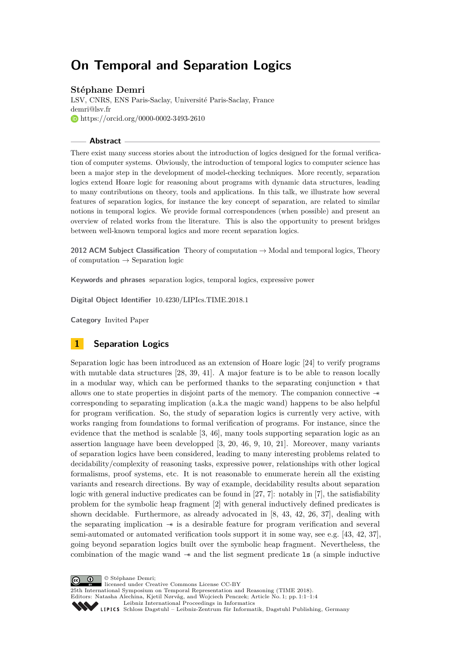# **On Temporal and Separation Logics**

## **Stéphane Demri**

LSV, CNRS, ENS Paris-Saclay, Université Paris-Saclay, France [demri@lsv.fr](mailto:demri@lsv.fr) <https://orcid.org/0000-0002-3493-2610>

**Abstract**

There exist many success stories about the introduction of logics designed for the formal verification of computer systems. Obviously, the introduction of temporal logics to computer science has been a major step in the development of model-checking techniques. More recently, separation logics extend Hoare logic for reasoning about programs with dynamic data structures, leading to many contributions on theory, tools and applications. In this talk, we illustrate how several features of separation logics, for instance the key concept of separation, are related to similar notions in temporal logics. We provide formal correspondences (when possible) and present an overview of related works from the literature. This is also the opportunity to present bridges between well-known temporal logics and more recent separation logics.

**2012 ACM Subject Classification** Theory of computation → Modal and temporal logics, Theory of computation  $\rightarrow$  Separation logic

**Keywords and phrases** separation logics, temporal logics, expressive power

**Digital Object Identifier** [10.4230/LIPIcs.TIME.2018.1](https://doi.org/10.4230/LIPIcs.TIME.2018.1)

**Category** Invited Paper

## **1 Separation Logics**

Separation logic has been introduced as an extension of Hoare logic [\[24\]](#page-2-0) to verify programs with mutable data structures [\[28,](#page-3-0) [39,](#page-3-1) [41\]](#page-3-2). A major feature is to be able to reason locally in a modular way, which can be performed thanks to the separating conjunction ∗ that allows one to state properties in disjoint parts of the memory. The companion connective −∗ corresponding to separating implication (a.k.a the magic wand) happens to be also helpful for program verification. So, the study of separation logics is currently very active, with works ranging from foundations to formal verification of programs. For instance, since the evidence that the method is scalable [\[3,](#page-2-1) [46\]](#page-3-3), many tools supporting separation logic as an assertion language have been developped [\[3,](#page-2-1) [20,](#page-2-2) [46,](#page-3-3) [9,](#page-2-3) [10,](#page-2-4) [21\]](#page-2-5). Moreover, many variants of separation logics have been considered, leading to many interesting problems related to decidability/complexity of reasoning tasks, expressive power, relationships with other logical formalisms, proof systems, etc. It is not reasonable to enumerate herein all the existing variants and research directions. By way of example, decidability results about separation logic with general inductive predicates can be found in [\[27,](#page-3-4) [7\]](#page-2-6): notably in [\[7\]](#page-2-6), the satisfiability problem for the symbolic heap fragment [\[2\]](#page-1-0) with general inductively defined predicates is shown decidable. Furthermore, as already advocated in [\[8,](#page-2-7) [43,](#page-3-5) [42,](#page-3-6) [26,](#page-3-7) [37\]](#page-3-8), dealing with the separating implication −∗ is a desirable feature for program verification and several semi-automated or automated verification tools support it in some way, see e.g. [\[43,](#page-3-5) [42,](#page-3-6) [37\]](#page-3-8), going beyond separation logics built over the symbolic heap fragment. Nevertheless, the combination of the magic wand −∗ and the list segment predicate ls (a simple inductive

© Stéphane Demri;  $\boxed{6}$  0 licensed under Creative Commons License CC-BY 25th International Symposium on Temporal Representation and Reasoning (TIME 2018). Editors: Natasha Alechina, Kjetil Nørvåg, and Wojciech Penczek; Article No. 1; pp. 1:1–1[:4](#page-3-9) [Leibniz International Proceedings in Informatics](http://www.dagstuhl.de/lipics/) Leibniz international riveredings in miximetrix<br>
LIPICS [Schloss Dagstuhl – Leibniz-Zentrum für Informatik, Dagstuhl Publishing, Germany](http://www.dagstuhl.de)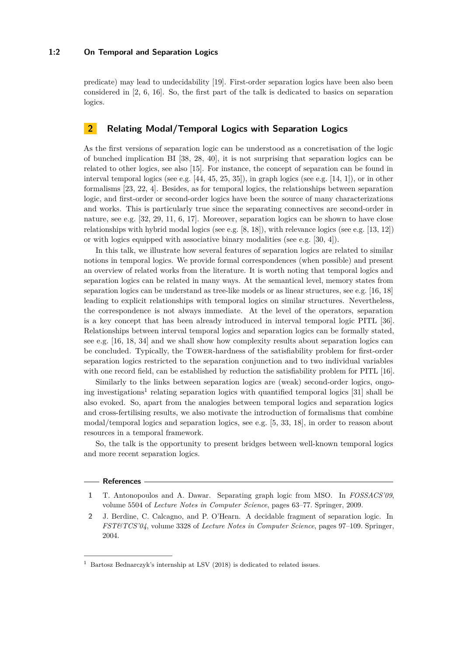## **1:2 On Temporal and Separation Logics**

predicate) may lead to undecidability [\[19\]](#page-2-8). First-order separation logics have been also been considered in [\[2,](#page-1-0) [6,](#page-2-9) [16\]](#page-2-10). So, the first part of the talk is dedicated to basics on separation logics.

## **2 Relating Modal/Temporal Logics with Separation Logics**

As the first versions of separation logic can be understood as a concretisation of the logic of bunched implication BI [\[38,](#page-3-10) [28,](#page-3-0) [40\]](#page-3-11), it is not surprising that separation logics can be related to other logics, see also [\[15\]](#page-2-11). For instance, the concept of separation can be found in interval temporal logics (see e.g. [\[44,](#page-3-12) [45,](#page-3-13) [25,](#page-3-14) [35\]](#page-3-15)), in graph logics (see e.g. [\[14,](#page-2-12) [1\]](#page-1-1)), or in other formalisms [\[23,](#page-2-13) [22,](#page-2-14) [4\]](#page-2-15). Besides, as for temporal logics, the relationships between separation logic, and first-order or second-order logics have been the source of many characterizations and works. This is particularly true since the separating connectives are second-order in nature, see e.g. [\[32,](#page-3-16) [29,](#page-3-17) [11,](#page-2-16) [6,](#page-2-9) [17\]](#page-2-17). Moreover, separation logics can be shown to have close relationships with hybrid modal logics (see e.g. [\[8,](#page-2-7) [18\]](#page-2-18)), with relevance logics (see e.g. [\[13,](#page-2-19) [12\]](#page-2-20)) or with logics equipped with associative binary modalities (see e.g. [\[30,](#page-3-18) [4\]](#page-2-15)).

In this talk, we illustrate how several features of separation logics are related to similar notions in temporal logics. We provide formal correspondences (when possible) and present an overview of related works from the literature. It is worth noting that temporal logics and separation logics can be related in many ways. At the semantical level, memory states from separation logics can be understand as tree-like models or as linear structures, see e.g. [\[16,](#page-2-10) [18\]](#page-2-18) leading to explicit relationships with temporal logics on similar structures. Nevertheless, the correspondence is not always immediate. At the level of the operators, separation is a key concept that has been already introduced in interval temporal logic PITL [\[36\]](#page-3-19). Relationships between interval temporal logics and separation logics can be formally stated, see e.g. [\[16,](#page-2-10) [18,](#page-2-18) [34\]](#page-3-20) and we shall show how complexity results about separation logics can be concluded. Typically, the Tower-hardness of the satisfiability problem for first-order separation logics restricted to the separation conjunction and to two individual variables with one record field, can be established by reduction the satisfiability problem for PITL [\[16\]](#page-2-10).

Similarly to the links between separation logics are (weak) second-order logics, ongo-ing investigations<sup>[1](#page-1-2)</sup> relating separation logics with quantified temporal logics [\[31\]](#page-3-21) shall be also evoked. So, apart from the analogies between temporal logics and separation logics and cross-fertilising results, we also motivate the introduction of formalisms that combine modal/temporal logics and separation logics, see e.g. [\[5,](#page-2-21) [33,](#page-3-22) [18\]](#page-2-18), in order to reason about resources in a temporal framework.

So, the talk is the opportunity to present bridges between well-known temporal logics and more recent separation logics.

#### **References**

- <span id="page-1-1"></span>**1** T. Antonopoulos and A. Dawar. Separating graph logic from MSO. In *FOSSACS'09*, volume 5504 of *Lecture Notes in Computer Science*, pages 63–77. Springer, 2009.
- <span id="page-1-0"></span>**2** J. Berdine, C. Calcagno, and P. O'Hearn. A decidable fragment of separation logic. In *FST&TCS'04*, volume 3328 of *Lecture Notes in Computer Science*, pages 97–109. Springer, 2004.

<span id="page-1-2"></span><sup>&</sup>lt;sup>1</sup> Bartosz Bednarczyk's internship at LSV (2018) is dedicated to related issues.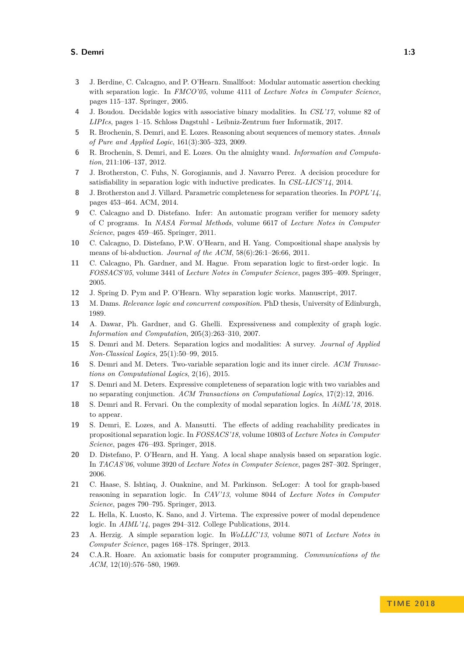## **S. Demri 1:3**

- <span id="page-2-1"></span>**3** J. Berdine, C. Calcagno, and P. O'Hearn. Smallfoot: Modular automatic assertion checking with separation logic. In *FMCO'05*, volume 4111 of *Lecture Notes in Computer Science*, pages 115–137. Springer, 2005.
- <span id="page-2-15"></span>**4** J. Boudou. Decidable logics with associative binary modalities. In *CSL'17*, volume 82 of *LIPIcs*, pages 1–15. Schloss Dagstuhl - Leibniz-Zentrum fuer Informatik, 2017.
- <span id="page-2-21"></span>**5** R. Brochenin, S. Demri, and E. Lozes. Reasoning about sequences of memory states. *Annals of Pure and Applied Logic*, 161(3):305–323, 2009.
- <span id="page-2-9"></span>**6** R. Brochenin, S. Demri, and E. Lozes. On the almighty wand. *Information and Computation*, 211:106–137, 2012.
- <span id="page-2-6"></span>**7** J. Brotherston, C. Fuhs, N. Gorogiannis, and J. Navarro Perez. A decision procedure for satisfiability in separation logic with inductive predicates. In *CSL-LICS'14*, 2014.
- <span id="page-2-7"></span>**8** J. Brotherston and J. Villard. Parametric completeness for separation theories. In *POPL'14*, pages 453–464. ACM, 2014.
- <span id="page-2-3"></span>**9** C. Calcagno and D. Distefano. Infer: An automatic program verifier for memory safety of C programs. In *NASA Formal Methods*, volume 6617 of *Lecture Notes in Computer Science*, pages 459–465. Springer, 2011.
- <span id="page-2-4"></span>**10** C. Calcagno, D. Distefano, P.W. O'Hearn, and H. Yang. Compositional shape analysis by means of bi-abduction. *Journal of the ACM*, 58(6):26:1–26:66, 2011.
- <span id="page-2-16"></span>**11** C. Calcagno, Ph. Gardner, and M. Hague. From separation logic to first-order logic. In *FOSSACS'05*, volume 3441 of *Lecture Notes in Computer Science*, pages 395–409. Springer, 2005.
- <span id="page-2-20"></span>**12** J. Spring D. Pym and P. O'Hearn. Why separation logic works. Manuscript, 2017.
- <span id="page-2-19"></span>**13** M. Dams. *Relevance logic and concurrent composition*. PhD thesis, University of Edinburgh, 1989.
- <span id="page-2-12"></span>**14** A. Dawar, Ph. Gardner, and G. Ghelli. Expressiveness and complexity of graph logic. *Information and Computation*, 205(3):263–310, 2007.
- <span id="page-2-11"></span>**15** S. Demri and M. Deters. Separation logics and modalities: A survey. *Journal of Applied Non-Classical Logics*, 25(1):50–99, 2015.
- <span id="page-2-10"></span>**16** S. Demri and M. Deters. Two-variable separation logic and its inner circle. *ACM Transactions on Computational Logics*, 2(16), 2015.
- <span id="page-2-17"></span>**17** S. Demri and M. Deters. Expressive completeness of separation logic with two variables and no separating conjunction. *ACM Transactions on Computational Logics*, 17(2):12, 2016.
- <span id="page-2-18"></span>**18** S. Demri and R. Fervari. On the complexity of modal separation logics. In *AiML'18*, 2018. to appear.
- <span id="page-2-8"></span>**19** S. Demri, E. Lozes, and A. Mansutti. The effects of adding reachability predicates in propositional separation logic. In *FOSSACS'18*, volume 10803 of *Lecture Notes in Computer Science*, pages 476–493. Springer, 2018.
- <span id="page-2-2"></span>**20** D. Distefano, P. O'Hearn, and H. Yang. A local shape analysis based on separation logic. In *TACAS'06*, volume 3920 of *Lecture Notes in Computer Science*, pages 287–302. Springer, 2006.
- <span id="page-2-5"></span>**21** C. Haase, S. Ishtiaq, J. Ouaknine, and M. Parkinson. SeLoger: A tool for graph-based reasoning in separation logic. In *CAV'13*, volume 8044 of *Lecture Notes in Computer Science*, pages 790–795. Springer, 2013.
- <span id="page-2-14"></span>**22** L. Hella, K. Luosto, K. Sano, and J. Virtema. The expressive power of modal dependence logic. In *AIML'14*, pages 294–312. College Publications, 2014.
- <span id="page-2-13"></span>**23** A. Herzig. A simple separation logic. In *WoLLIC'13*, volume 8071 of *Lecture Notes in Computer Science*, pages 168–178. Springer, 2013.
- <span id="page-2-0"></span>**24** C.A.R. Hoare. An axiomatic basis for computer programming. *Communications of the ACM*, 12(10):576–580, 1969.